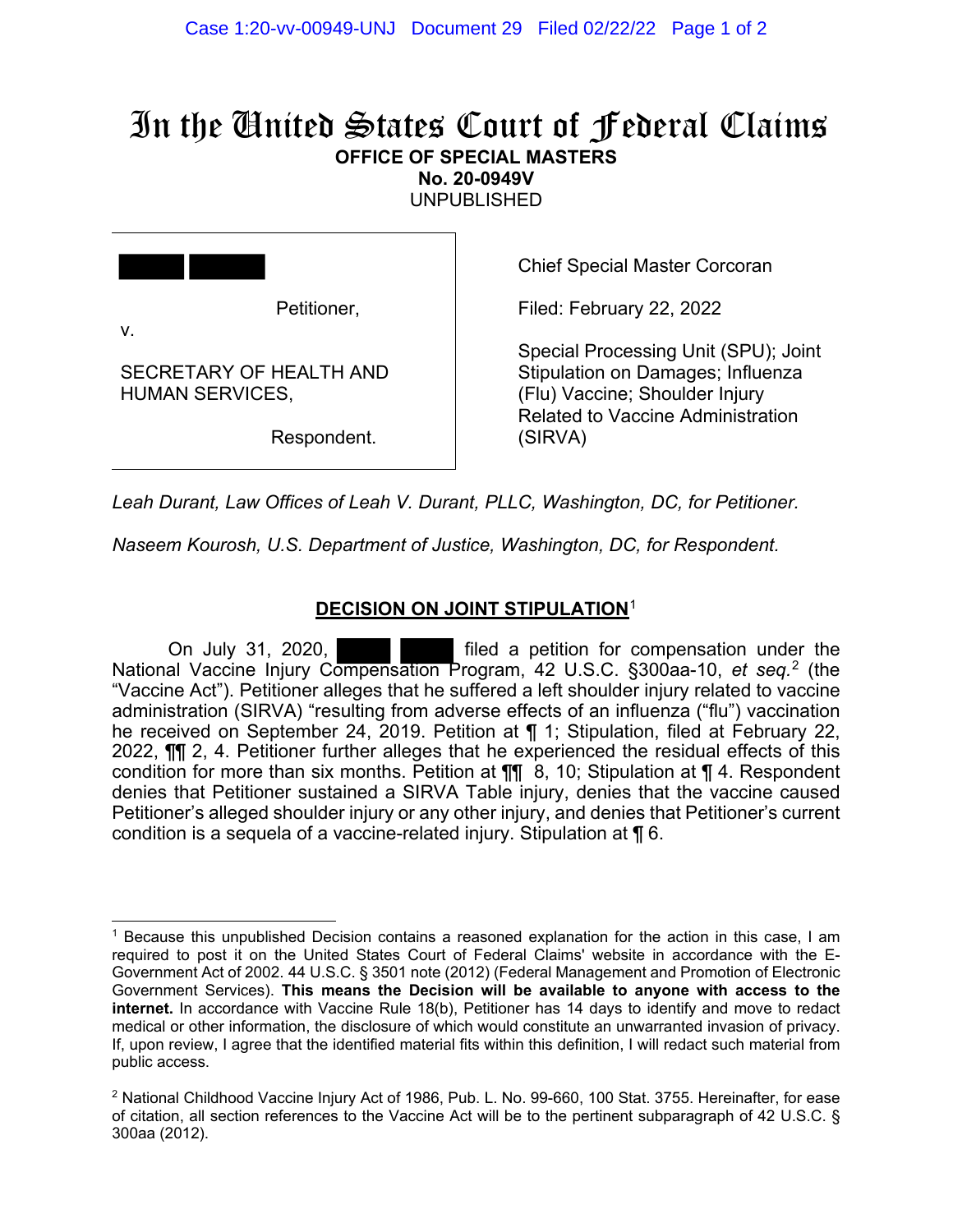# In the United States Court of Federal Claims **OFFICE OF SPECIAL MASTERS**

**No. 20-0949V** 

UNPUBLISHED

|                                                   | <b>Chief Special Master Corcoran</b>                                                                                                                    |
|---------------------------------------------------|---------------------------------------------------------------------------------------------------------------------------------------------------------|
| Petitioner,<br>$V_{\cdot}$                        | Filed: February 22, 2022                                                                                                                                |
| SECRETARY OF HEALTH AND<br><b>HUMAN SERVICES,</b> | Special Processing Unit (SPU); Joint<br>Stipulation on Damages; Influenza<br>(Flu) Vaccine; Shoulder Injury<br><b>Related to Vaccine Administration</b> |
| Respondent.                                       | (SIRVA)                                                                                                                                                 |
|                                                   |                                                                                                                                                         |

*Leah Durant, Law Offices of Leah V. Durant, PLLC, Washington, DC, for Petitioner. Naseem Kourosh, U.S. Department of Justice, Washington, DC, for Respondent.*

# **DECISION ON JOINT STIPULATION**<sup>1</sup>

On July 31, 2020, filed a petition for compensation under the National Vaccine Injury Compensation Program, 42 U.S.C. §300aa-10, *et seq.* 2 (the "Vaccine Act"). Petitioner alleges that he suffered a left shoulder injury related to vaccine administration (SIRVA) "resulting from adverse effects of an influenza ("flu") vaccination he received on September 24, 2019. Petition at ¶ 1; Stipulation, filed at February 22, 2022, ¶¶ 2, 4. Petitioner further alleges that he experienced the residual effects of this condition for more than six months. Petition at  $\P$  8, 10; Stipulation at  $\P$  4. Respondent denies that Petitioner sustained a SIRVA Table injury, denies that the vaccine caused Petitioner's alleged shoulder injury or any other injury, and denies that Petitioner's current condition is a sequela of a vaccine-related injury. Stipulation at ¶ 6.

<sup>1</sup> Because this unpublished Decision contains a reasoned explanation for the action in this case, I am required to post it on the United States Court of Federal Claims' website in accordance with the E-Government Act of 2002. 44 U.S.C. § 3501 note (2012) (Federal Management and Promotion of Electronic Government Services). **This means the Decision will be available to anyone with access to the internet.** In accordance with Vaccine Rule 18(b), Petitioner has 14 days to identify and move to redact medical or other information, the disclosure of which would constitute an unwarranted invasion of privacy. If, upon review, I agree that the identified material fits within this definition, I will redact such material from public access.

 $2$  National Childhood Vaccine Injury Act of 1986, Pub. L. No. 99-660, 100 Stat. 3755. Hereinafter, for ease of citation, all section references to the Vaccine Act will be to the pertinent subparagraph of 42 U.S.C. § 300aa (2012).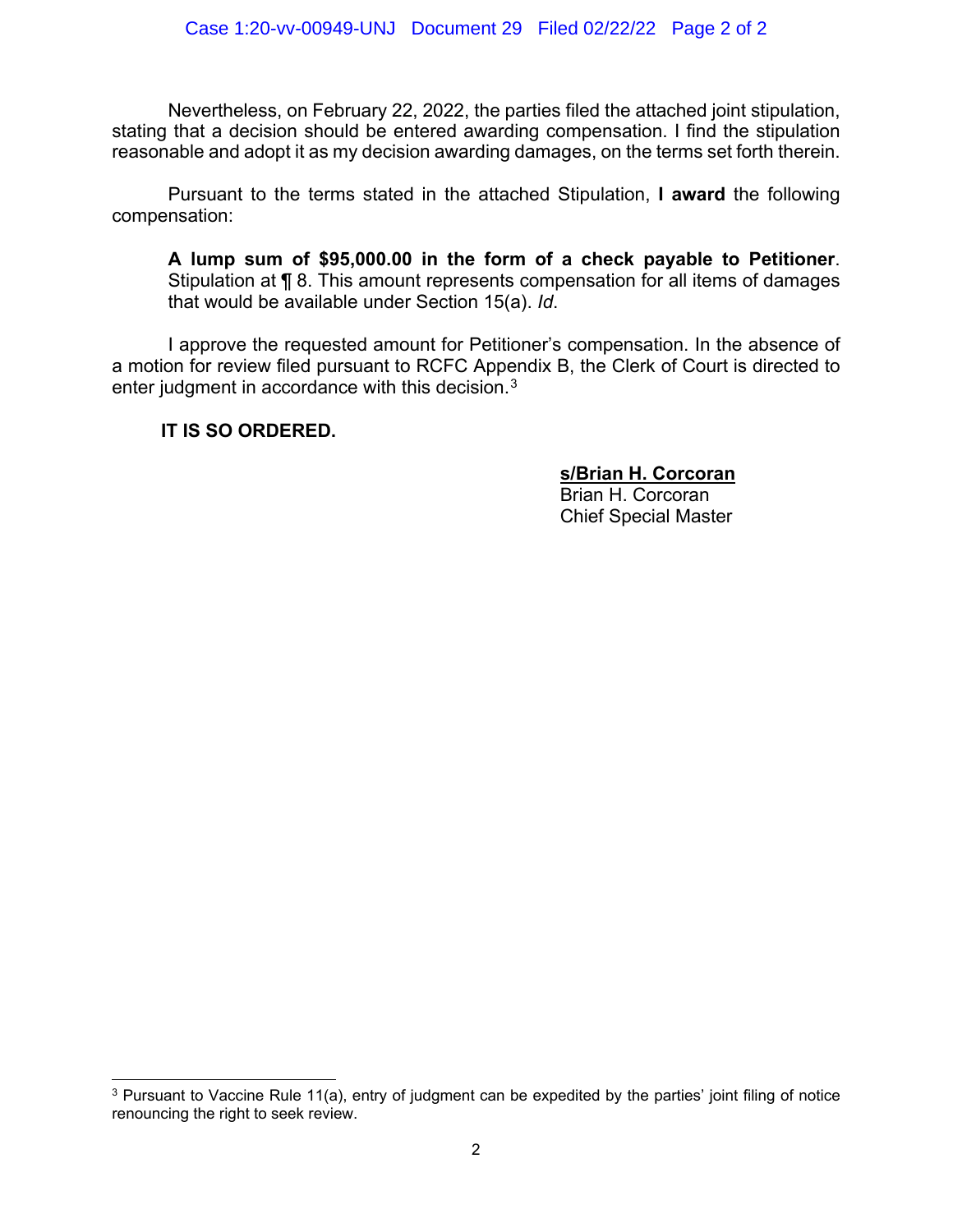Nevertheless, on February 22, 2022, the parties filed the attached joint stipulation, stating that a decision should be entered awarding compensation. I find the stipulation reasonable and adopt it as my decision awarding damages, on the terms set forth therein.

Pursuant to the terms stated in the attached Stipulation, **I award** the following compensation:

**A lump sum of \$95,000.00 in the form of a check payable to Petitioner**. Stipulation at ¶ 8. This amount represents compensation for all items of damages that would be available under Section 15(a). *Id*.

I approve the requested amount for Petitioner's compensation. In the absence of a motion for review filed pursuant to RCFC Appendix B, the Clerk of Court is directed to enter judgment in accordance with this decision.<sup>3</sup>

**IT IS SO ORDERED.**

**s/Brian H. Corcoran**

Brian H. Corcoran Chief Special Master

<sup>&</sup>lt;sup>3</sup> Pursuant to Vaccine Rule 11(a), entry of judgment can be expedited by the parties' joint filing of notice renouncing the right to seek review.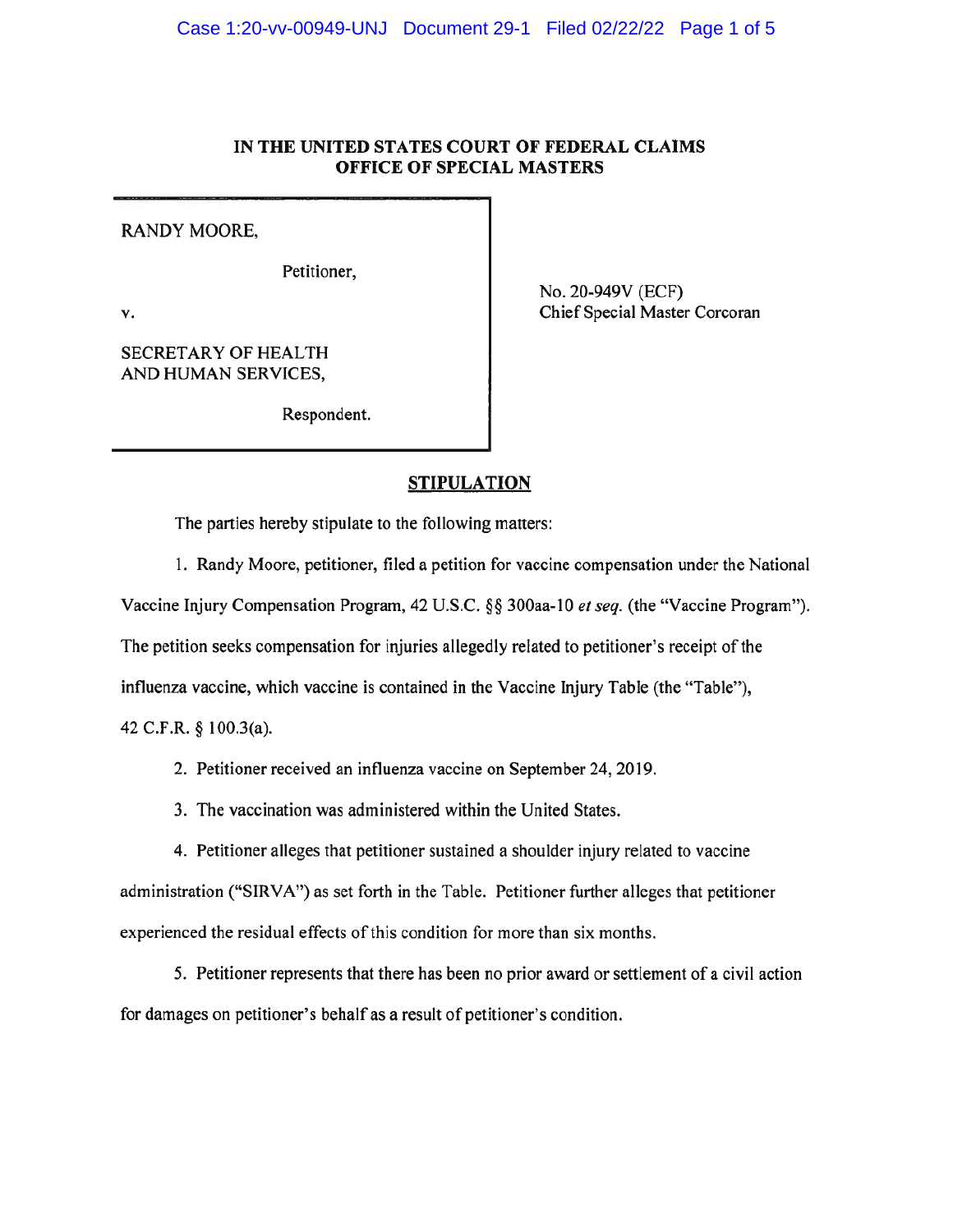## IN THE UNITED STATES COURT OF FEDERAL CLAIMS OFFICE OF SPECIAL MASTERS

RANDY MOORE,

Petitioner,

٧.

**SECRETARY OF HEALTH** AND HUMAN SERVICES,

Respondent.

No. 20-949V (ECF)

Chief Special Master Corcoran

# **STIPULATION**

The parties hereby stipulate to the following matters:

1. Randy Moore, petitioner, filed a petition for vaccine compensation under the National

Vaccine Injury Compensation Program, 42 U.S.C. §§ 300aa-10 et seq. (the "Vaccine Program").

The petition seeks compensation for injuries allegedly related to petitioner's receipt of the

influenza vaccine, which vaccine is contained in the Vaccine Injury Table (the "Table"),

42 C.F.R. § 100.3(a).

2. Petitioner received an influenza vaccine on September 24, 2019.

3. The vaccination was administered within the United States.

4. Petitioner alleges that petitioner sustained a shoulder injury related to vaccine administration ("SIRVA") as set forth in the Table. Petitioner further alleges that petitioner experienced the residual effects of this condition for more than six months.

5. Petitioner represents that there has been no prior award or settlement of a civil action for damages on petitioner's behalf as a result of petitioner's condition.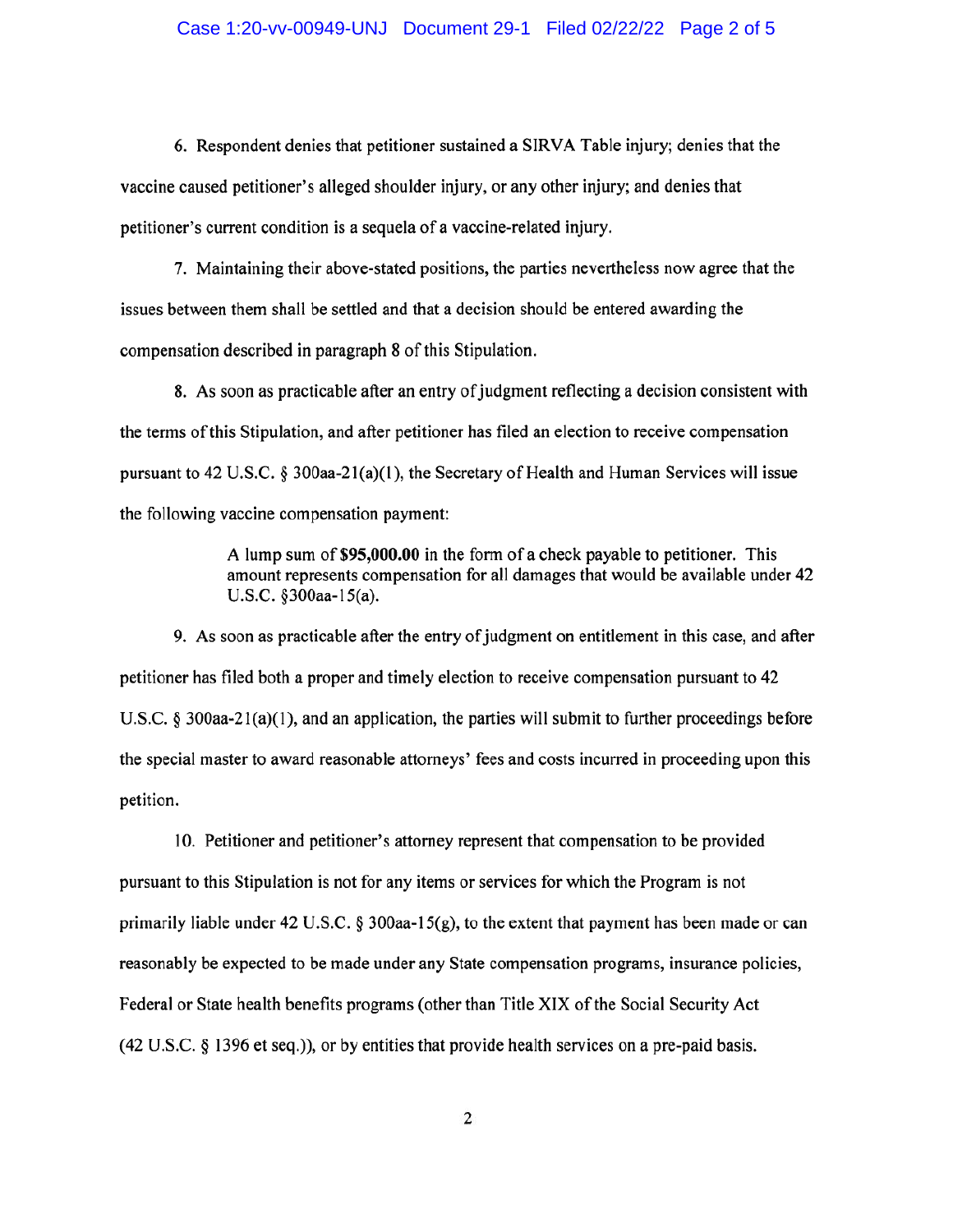#### Case 1:20-vv-00949-UNJ Document 29-1 Filed 02/22/22 Page 2 of 5

6. Respondent denies that petitioner sustained a SIRVA Table injury; denies that the vaccine caused petitioner's alleged shoulder injury, or any other injury; and denies that petitioner's current condition is a sequela of a vaccine-related injury.

7. Maintaining their above-stated positions, the parties nevertheless now agree that the issues between them shall be settled and that a decision should be entered awarding the compensation described in paragraph 8 of this Stipulation.

8. As soon as practicable after an entry of judgment reflecting a decision consistent with the terms of this Stipulation, and after petitioner has filed an election to receive compensation pursuant to 42 U.S.C.  $\S$  300aa-21(a)(1), the Secretary of Health and Human Services will issue the following vaccine compensation payment:

> A lump sum of \$95,000.00 in the form of a check payable to petitioner. This amount represents compensation for all damages that would be available under 42 U.S.C. §300aa-15(a).

9. As soon as practicable after the entry of judgment on entitlement in this case, and after petitioner has filed both a proper and timely election to receive compensation pursuant to 42 U.S.C. § 300aa-21(a)(1), and an application, the parties will submit to further proceedings before the special master to award reasonable attorneys' fees and costs incurred in proceeding upon this petition.

10. Petitioner and petitioner's attorney represent that compensation to be provided pursuant to this Stipulation is not for any items or services for which the Program is not primarily liable under 42 U.S.C. § 300aa-15(g), to the extent that payment has been made or can reasonably be expected to be made under any State compensation programs, insurance policies, Federal or State health benefits programs (other than Title XIX of the Social Security Act (42 U.S.C. § 1396 et seq.)), or by entities that provide health services on a pre-paid basis.

 $\overline{2}$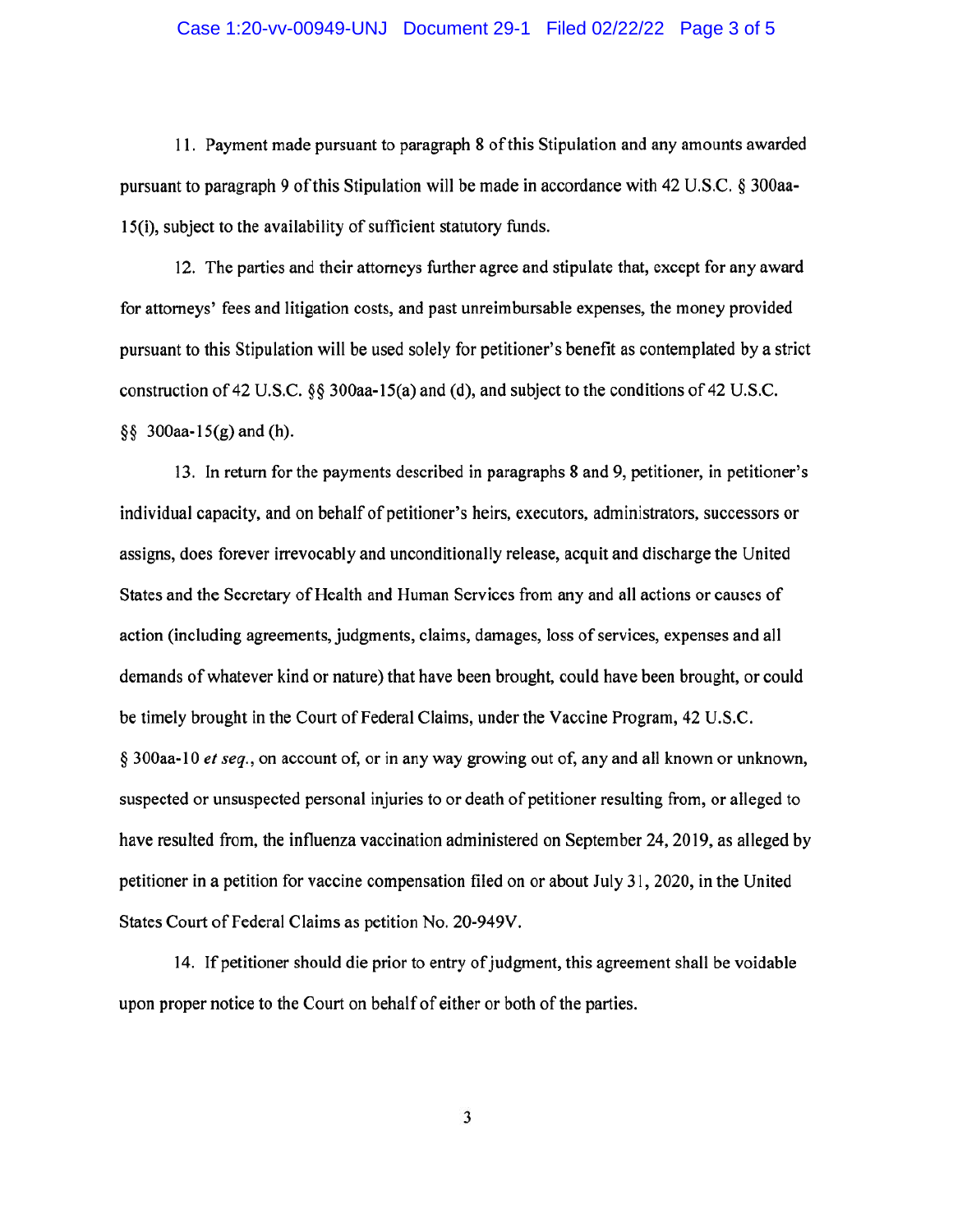#### Case 1:20-vv-00949-UNJ Document 29-1 Filed 02/22/22 Page 3 of 5

11. Payment made pursuant to paragraph 8 of this Stipulation and any amounts awarded pursuant to paragraph 9 of this Stipulation will be made in accordance with 42 U.S.C. § 300aa-15(i), subject to the availability of sufficient statutory funds.

12. The parties and their attorneys further agree and stipulate that, except for any award for attorneys' fees and litigation costs, and past unreimbursable expenses, the money provided pursuant to this Stipulation will be used solely for petitioner's benefit as contemplated by a strict construction of 42 U.S.C. §§ 300aa-15(a) and (d), and subject to the conditions of 42 U.S.C.  $\S\S$  300aa-15(g) and (h).

13. In return for the payments described in paragraphs 8 and 9, petitioner, in petitioner's individual capacity, and on behalf of petitioner's heirs, executors, administrators, successors or assigns, does forever irrevocably and unconditionally release, acquit and discharge the United States and the Secretary of Health and Human Services from any and all actions or causes of action (including agreements, judgments, claims, damages, loss of services, expenses and all demands of whatever kind or nature) that have been brought, could have been brought, or could be timely brought in the Court of Federal Claims, under the Vaccine Program, 42 U.S.C. § 300aa-10 et seq., on account of, or in any way growing out of, any and all known or unknown, suspected or unsuspected personal injuries to or death of petitioner resulting from, or alleged to have resulted from, the influenza vaccination administered on September 24, 2019, as alleged by petitioner in a petition for vaccine compensation filed on or about July 31, 2020, in the United States Court of Federal Claims as petition No. 20-949V.

14. If petitioner should die prior to entry of judgment, this agreement shall be voidable upon proper notice to the Court on behalf of either or both of the parties.

3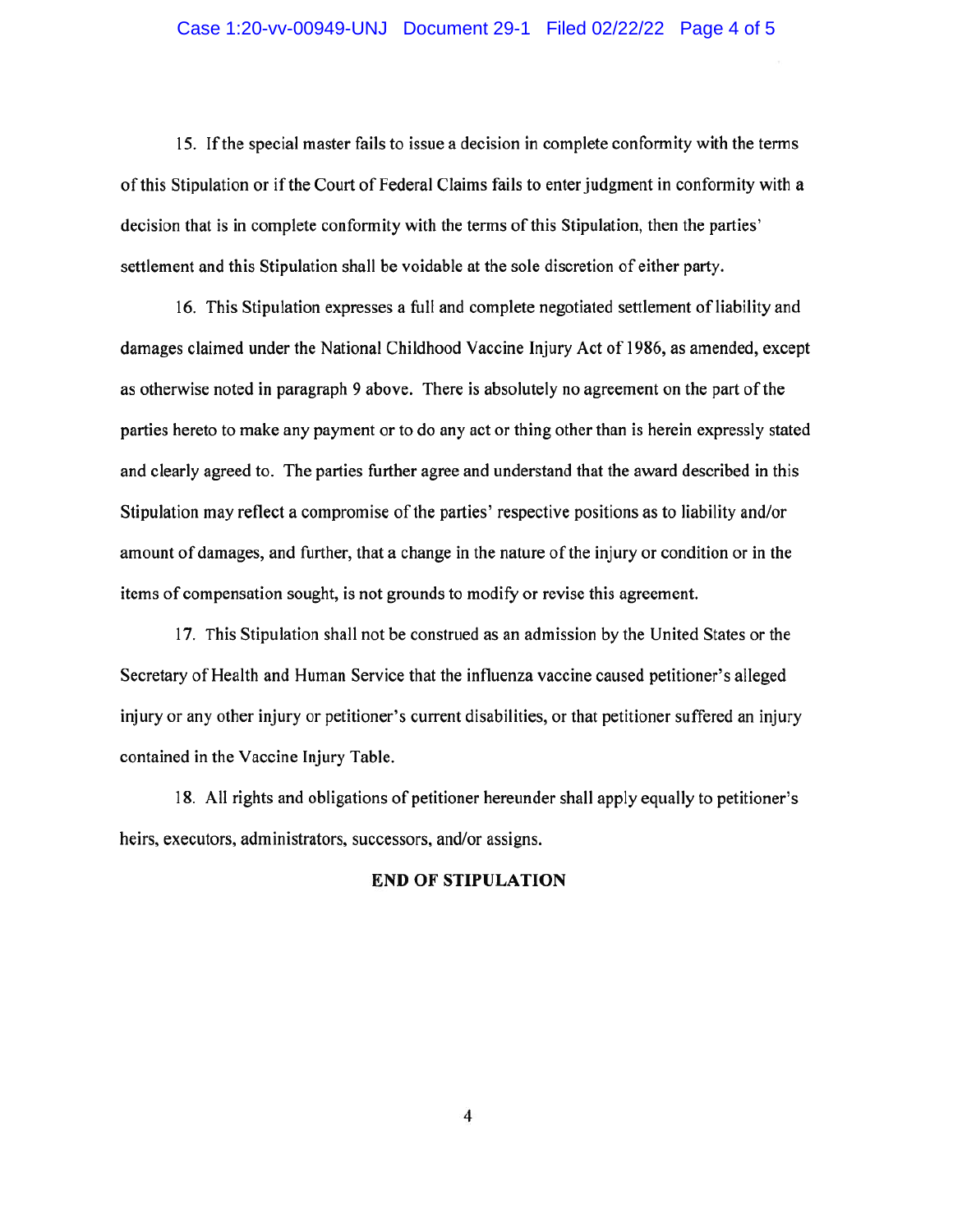#### Case 1:20-vv-00949-UNJ Document 29-1 Filed 02/22/22 Page 4 of 5

15. If the special master fails to issue a decision in complete conformity with the terms of this Stipulation or if the Court of Federal Claims fails to enter judgment in conformity with a decision that is in complete conformity with the terms of this Stipulation, then the parties' settlement and this Stipulation shall be voidable at the sole discretion of either party.

16. This Stipulation expresses a full and complete negotiated settlement of liability and damages claimed under the National Childhood Vaccine Injury Act of 1986, as amended, except as otherwise noted in paragraph 9 above. There is absolutely no agreement on the part of the parties hereto to make any payment or to do any act or thing other than is herein expressly stated and clearly agreed to. The parties further agree and understand that the award described in this Stipulation may reflect a compromise of the parties' respective positions as to liability and/or amount of damages, and further, that a change in the nature of the injury or condition or in the items of compensation sought, is not grounds to modify or revise this agreement.

17. This Stipulation shall not be construed as an admission by the United States or the Secretary of Health and Human Service that the influenza vaccine caused petitioner's alleged injury or any other injury or petitioner's current disabilities, or that petitioner suffered an injury contained in the Vaccine Injury Table.

18. All rights and obligations of petitioner hereunder shall apply equally to petitioner's heirs, executors, administrators, successors, and/or assigns.

#### **END OF STIPULATION**

 $\overline{4}$